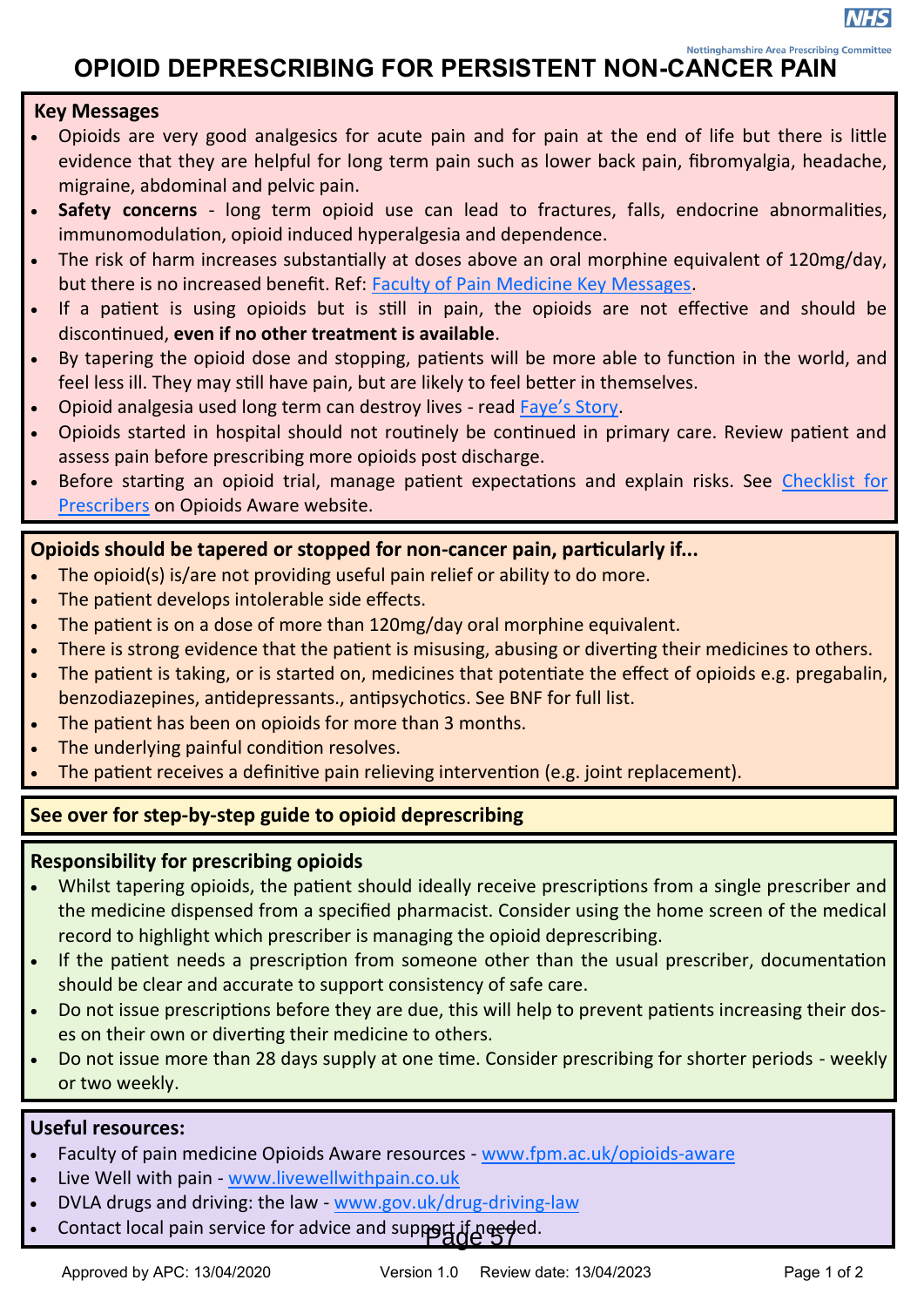**Nottinghamshire Area Prescribing Committe** 

# **OPIOID DEPRESCRIBING FOR PERSISTENT NON-CANCER PAIN**

## **Key Messages**

- Opioids are very good analgesics for acute pain and for pain at the end of life but there is little evidence that they are helpful for long term pain such as lower back pain, fibromyalgia, headache, migraine, abdominal and pelvic pain.
- **Safety concerns** long term opioid use can lead to fractures, falls, endocrine abnormalities, immunomodulation, opioid induced hyperalgesia and dependence.
- The risk of harm increases substantially at doses above an oral morphine equivalent of 120mg/day, but there is no increased benefit. Ref: [Faculty of Pain Medicine Key Messages.](https://fpm.ac.uk/opioids-aware)
- If a patient is using opioids but is still in pain, the opioids are not effective and should be discontinued, **even if no other treatment is available**.
- By tapering the opioid dose and stopping, patients will be more able to function in the world, and feel less ill. They may still have pain, but are likely to feel better in themselves.
- Opioid analgesia used long term can destroy lives read [Faye's Story.](https://improvement.nhs.uk/documents/1770/NHS_CD_Newsletter_Fayes_story_0617.pdf)
- Opioids started in hospital should not routinely be continued in primary care. Review patient and assess pain before prescribing more opioids post discharge.
- Before starting an opioid trial, manage patient expectations and explain risks. See [Checklist for](https://fpm.ac.uk/opioids-aware-structured-approach-opioid-prescribing/checklist-prescribers)  [Prescribers](https://fpm.ac.uk/opioids-aware-structured-approach-opioid-prescribing/checklist-prescribers) on Opioids Aware website.

# **Opioids should be tapered or stopped for non-cancer pain, particularly if...**

- The opioid(s) is/are not providing useful pain relief or ability to do more.
- The patient develops intolerable side effects.
- The patient is on a dose of more than 120mg/day oral morphine equivalent.
- There is strong evidence that the patient is misusing, abusing or diverting their medicines to others.
- The patient is taking, or is started on, medicines that potentiate the effect of opioids e.g. pregabalin, benzodiazepines, antidepressants., antipsychotics. See BNF for full list.
- The patient has been on opioids for more than 3 months.
- The underlying painful condition resolves.
- The patient receives a definitive pain relieving intervention (e.g. joint replacement).

# **See over for step-by-step guide to opioid deprescribing**

# **Responsibility for prescribing opioids**

- Whilst tapering opioids, the patient should ideally receive prescriptions from a single prescriber and the medicine dispensed from a specified pharmacist. Consider using the home screen of the medical record to highlight which prescriber is managing the opioid deprescribing.
- If the patient needs a prescription from someone other than the usual prescriber, documentation should be clear and accurate to support consistency of safe care.
- Do not issue prescriptions before they are due, this will help to prevent patients increasing their doses on their own or diverting their medicine to others.
- Do not issue more than 28 days supply at one time. Consider prescribing for shorter periods weekly or two weekly.

# **Useful resources:**

- Faculty of pain medicine Opioids Aware resources [www.fpm.ac.uk/opioids](https://www.fpm.ac.uk/opioids-aware)-aware
- Live Well with pain [www.livewellwithpain.co.uk](https://livewellwithpain.co.uk)
- DVLA drugs and driving: the law [www.gov.uk/drug](https://www.gov.uk/drug-driving-law)-driving-law
- **Contact local pain service for advice and support if needed.**<br> **Contact local pain service for advice and support if needed.**